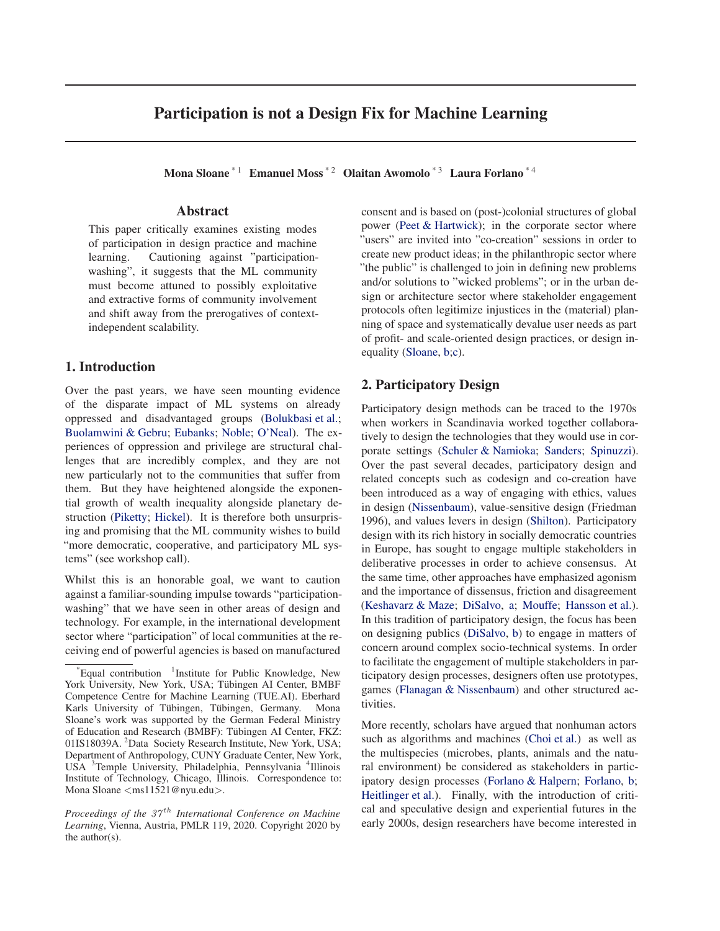# Participation is not a Design Fix for Machine Learning

Mona Sloane<sup>\* 1</sup> Emanuel Moss<sup>\* 2</sup> Olaitan Awomolo<sup>\* 3</sup> Laura Forlano<sup>\* 4</sup>

## Abstract

This paper critically examines existing modes of participation in design practice and machine learning. Cautioning against "participationwashing", it suggests that the ML community must become attuned to possibly exploitative and extractive forms of community involvement and shift away from the prerogatives of contextindependent scalability.

# 1. Introduction

Over the past years, we have seen mounting evidence of the disparate impact of ML systems on already oppressed and disadvantaged groups (Bolukbasi et al.; Buolamwini & Gebru; Eubanks; Noble; O'Neal). The experiences of oppression and privilege are structural challenges that are incredibly complex, and they are not new particularly not to the communities that suffer from them. But they have heightened alongside the exponential growth of wealth inequality alongside planetary destruction (Piketty; Hickel). It is therefore both unsurprising and promising that the ML community wishes to build "more democratic, cooperative, and participatory ML systems" (see workshop call).

Whilst this is an honorable goal, we want to caution against a familiar-sounding impulse towards "participationwashing" that we have seen in other areas of design and technology. For example, in the international development sector where "participation" of local communities at the receiving end of powerful agencies is based on manufactured

consent and is based on (post-)colonial structures of global power (Peet & Hartwick); in the corporate sector where "users" are invited into "co-creation" sessions in order to create new product ideas; in the philanthropic sector where "the public" is challenged to join in defining new problems and/or solutions to "wicked problems"; or in the urban design or architecture sector where stakeholder engagement protocols often legitimize injustices in the (material) planning of space and systematically devalue user needs as part of profit- and scale-oriented design practices, or design inequality (Sloane, b;c).

# 2. Participatory Design

Participatory design methods can be traced to the 1970s when workers in Scandinavia worked together collaboratively to design the technologies that they would use in corporate settings (Schuler & Namioka; Sanders; Spinuzzi). Over the past several decades, participatory design and related concepts such as codesign and co-creation have been introduced as a way of engaging with ethics, values in design (Nissenbaum), value-sensitive design (Friedman 1996), and values levers in design (Shilton). Participatory design with its rich history in socially democratic countries in Europe, has sought to engage multiple stakeholders in deliberative processes in order to achieve consensus. At the same time, other approaches have emphasized agonism and the importance of dissensus, friction and disagreement (Keshavarz & Maze; DiSalvo, a; Mouffe; Hansson et al.). In this tradition of participatory design, the focus has been on designing publics (DiSalvo, b) to engage in matters of concern around complex socio-technical systems. In order to facilitate the engagement of multiple stakeholders in participatory design processes, designers often use prototypes, games (Flanagan & Nissenbaum) and other structured activities.

More recently, scholars have argued that nonhuman actors such as algorithms and machines (Choi et al.) as well as the multispecies (microbes, plants, animals and the natural environment) be considered as stakeholders in participatory design processes (Forlano & Halpern; Forlano, b; Heitlinger et al.). Finally, with the introduction of critical and speculative design and experiential futures in the early 2000s, design researchers have become interested in

 $E$ qual contribution  $1$ Institute for Public Knowledge, New York University, New York, USA; Tübingen AI Center, BMBF Competence Centre for Machine Learning (TUE.AI). Eberhard Karls University of Tübingen, Tübingen, Germany. Mona Sloane's work was supported by the German Federal Ministry of Education and Research (BMBF): Tübingen AI Center, FKZ: 01IS18039A. <sup>2</sup>Data Society Research Institute, New York, USA; Department of Anthropology, CUNY Graduate Center, New York, USA <sup>3</sup>Temple University, Philadelphia, Pennsylvania <sup>4</sup>Illinois Institute of Technology, Chicago, Illinois. Correspondence to: Mona Sloane <ms11521@nyu.edu>.

*Proceedings of the 37<sup>th</sup> International Conference on Machine Learning*, Vienna, Austria, PMLR 119, 2020. Copyright 2020 by the author(s).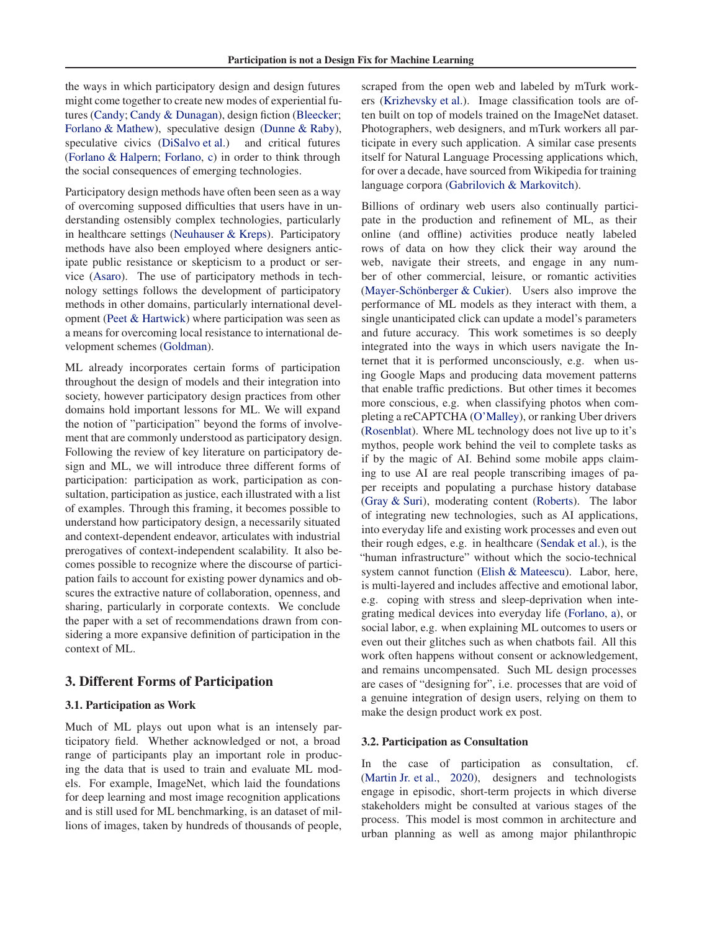the ways in which participatory design and design futures might come together to create new modes of experiential futures (Candy; Candy & Dunagan), design fiction (Bleecker; Forlano & Mathew), speculative design (Dunne & Raby), speculative civics (DiSalvo et al.) and critical futures (Forlano & Halpern; Forlano, c) in order to think through the social consequences of emerging technologies.

Participatory design methods have often been seen as a way of overcoming supposed difficulties that users have in understanding ostensibly complex technologies, particularly in healthcare settings (Neuhauser & Kreps). Participatory methods have also been employed where designers anticipate public resistance or skepticism to a product or service (Asaro). The use of participatory methods in technology settings follows the development of participatory methods in other domains, particularly international development (Peet & Hartwick) where participation was seen as a means for overcoming local resistance to international development schemes (Goldman).

ML already incorporates certain forms of participation throughout the design of models and their integration into society, however participatory design practices from other domains hold important lessons for ML. We will expand the notion of "participation" beyond the forms of involvement that are commonly understood as participatory design. Following the review of key literature on participatory design and ML, we will introduce three different forms of participation: participation as work, participation as consultation, participation as justice, each illustrated with a list of examples. Through this framing, it becomes possible to understand how participatory design, a necessarily situated and context-dependent endeavor, articulates with industrial prerogatives of context-independent scalability. It also becomes possible to recognize where the discourse of participation fails to account for existing power dynamics and obscures the extractive nature of collaboration, openness, and sharing, particularly in corporate contexts. We conclude the paper with a set of recommendations drawn from considering a more expansive definition of participation in the context of ML.

# 3. Different Forms of Participation

## 3.1. Participation as Work

Much of ML plays out upon what is an intensely participatory field. Whether acknowledged or not, a broad range of participants play an important role in producing the data that is used to train and evaluate ML models. For example, ImageNet, which laid the foundations for deep learning and most image recognition applications and is still used for ML benchmarking, is an dataset of millions of images, taken by hundreds of thousands of people, scraped from the open web and labeled by mTurk workers (Krizhevsky et al.). Image classification tools are often built on top of models trained on the ImageNet dataset. Photographers, web designers, and mTurk workers all participate in every such application. A similar case presents itself for Natural Language Processing applications which, for over a decade, have sourced from Wikipedia for training language corpora (Gabrilovich & Markovitch).

Billions of ordinary web users also continually participate in the production and refinement of ML, as their online (and offline) activities produce neatly labeled rows of data on how they click their way around the web, navigate their streets, and engage in any number of other commercial, leisure, or romantic activities (Mayer-Schönberger  $&$  Cukier). Users also improve the performance of ML models as they interact with them, a single unanticipated click can update a model's parameters and future accuracy. This work sometimes is so deeply integrated into the ways in which users navigate the Internet that it is performed unconsciously, e.g. when using Google Maps and producing data movement patterns that enable traffic predictions. But other times it becomes more conscious, e.g. when classifying photos when completing a reCAPTCHA (O'Malley), or ranking Uber drivers (Rosenblat). Where ML technology does not live up to it's mythos, people work behind the veil to complete tasks as if by the magic of AI. Behind some mobile apps claiming to use AI are real people transcribing images of paper receipts and populating a purchase history database (Gray & Suri), moderating content (Roberts). The labor of integrating new technologies, such as AI applications, into everyday life and existing work processes and even out their rough edges, e.g. in healthcare (Sendak et al.), is the "human infrastructure" without which the socio-technical system cannot function (Elish & Mateescu). Labor, here, is multi-layered and includes affective and emotional labor, e.g. coping with stress and sleep-deprivation when integrating medical devices into everyday life (Forlano, a), or social labor, e.g. when explaining ML outcomes to users or even out their glitches such as when chatbots fail. All this work often happens without consent or acknowledgement, and remains uncompensated. Such ML design processes are cases of "designing for", i.e. processes that are void of a genuine integration of design users, relying on them to make the design product work ex post.

#### 3.2. Participation as Consultation

In the case of participation as consultation, cf. (Martin Jr. et al., 2020), designers and technologists engage in episodic, short-term projects in which diverse stakeholders might be consulted at various stages of the process. This model is most common in architecture and urban planning as well as among major philanthropic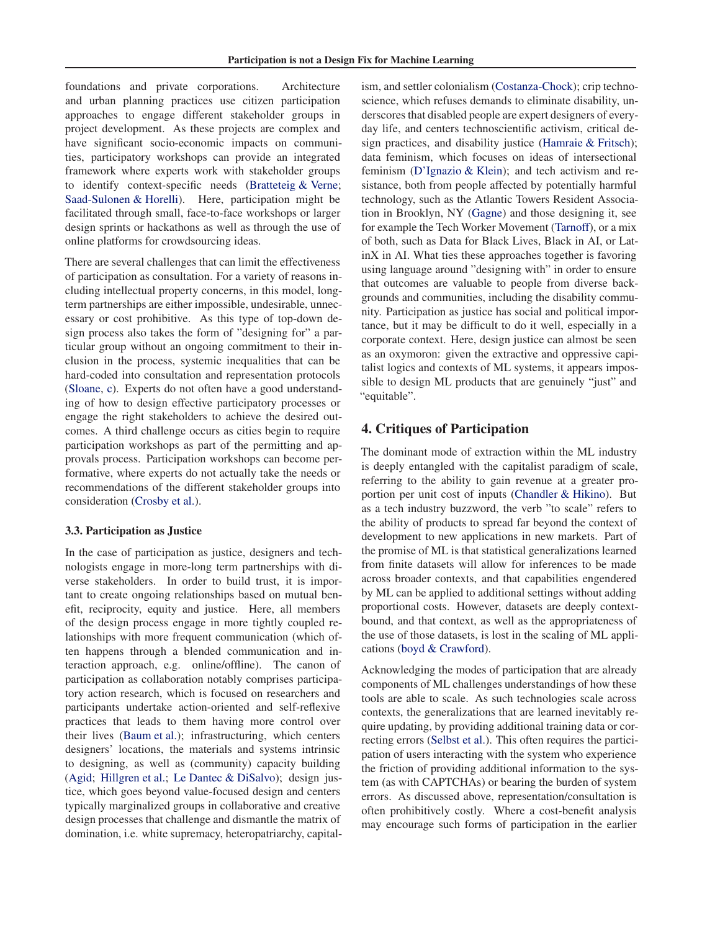foundations and private corporations. Architecture and urban planning practices use citizen participation approaches to engage different stakeholder groups in project development. As these projects are complex and have significant socio-economic impacts on communities, participatory workshops can provide an integrated framework where experts work with stakeholder groups to identify context-specific needs (Bratteteig & Verne; Saad-Sulonen & Horelli). Here, participation might be facilitated through small, face-to-face workshops or larger design sprints or hackathons as well as through the use of online platforms for crowdsourcing ideas.

There are several challenges that can limit the effectiveness of participation as consultation. For a variety of reasons including intellectual property concerns, in this model, longterm partnerships are either impossible, undesirable, unnecessary or cost prohibitive. As this type of top-down design process also takes the form of "designing for" a particular group without an ongoing commitment to their inclusion in the process, systemic inequalities that can be hard-coded into consultation and representation protocols (Sloane, c). Experts do not often have a good understanding of how to design effective participatory processes or engage the right stakeholders to achieve the desired outcomes. A third challenge occurs as cities begin to require participation workshops as part of the permitting and approvals process. Participation workshops can become performative, where experts do not actually take the needs or recommendations of the different stakeholder groups into consideration (Crosby et al.).

## 3.3. Participation as Justice

In the case of participation as justice, designers and technologists engage in more-long term partnerships with diverse stakeholders. In order to build trust, it is important to create ongoing relationships based on mutual benefit, reciprocity, equity and justice. Here, all members of the design process engage in more tightly coupled relationships with more frequent communication (which often happens through a blended communication and interaction approach, e.g. online/offline). The canon of participation as collaboration notably comprises participatory action research, which is focused on researchers and participants undertake action-oriented and self-reflexive practices that leads to them having more control over their lives (Baum et al.); infrastructuring, which centers designers' locations, the materials and systems intrinsic to designing, as well as (community) capacity building (Agid; Hillgren et al.; Le Dantec & DiSalvo); design justice, which goes beyond value-focused design and centers typically marginalized groups in collaborative and creative design processes that challenge and dismantle the matrix of domination, i.e. white supremacy, heteropatriarchy, capitalism, and settler colonialism (Costanza-Chock); crip technoscience, which refuses demands to eliminate disability, underscores that disabled people are expert designers of everyday life, and centers technoscientific activism, critical design practices, and disability justice (Hamraie & Fritsch); data feminism, which focuses on ideas of intersectional feminism (D'Ignazio & Klein); and tech activism and resistance, both from people affected by potentially harmful technology, such as the Atlantic Towers Resident Association in Brooklyn, NY (Gagne) and those designing it, see for example the Tech Worker Movement (Tarnoff), or a mix of both, such as Data for Black Lives, Black in AI, or LatinX in AI. What ties these approaches together is favoring using language around "designing with" in order to ensure that outcomes are valuable to people from diverse backgrounds and communities, including the disability community. Participation as justice has social and political importance, but it may be difficult to do it well, especially in a corporate context. Here, design justice can almost be seen as an oxymoron: given the extractive and oppressive capitalist logics and contexts of ML systems, it appears impossible to design ML products that are genuinely "just" and "equitable".

# 4. Critiques of Participation

The dominant mode of extraction within the ML industry is deeply entangled with the capitalist paradigm of scale, referring to the ability to gain revenue at a greater proportion per unit cost of inputs (Chandler & Hikino). But as a tech industry buzzword, the verb "to scale" refers to the ability of products to spread far beyond the context of development to new applications in new markets. Part of the promise of ML is that statistical generalizations learned from finite datasets will allow for inferences to be made across broader contexts, and that capabilities engendered by ML can be applied to additional settings without adding proportional costs. However, datasets are deeply contextbound, and that context, as well as the appropriateness of the use of those datasets, is lost in the scaling of ML applications (boyd & Crawford).

Acknowledging the modes of participation that are already components of ML challenges understandings of how these tools are able to scale. As such technologies scale across contexts, the generalizations that are learned inevitably require updating, by providing additional training data or correcting errors (Selbst et al.). This often requires the participation of users interacting with the system who experience the friction of providing additional information to the system (as with CAPTCHAs) or bearing the burden of system errors. As discussed above, representation/consultation is often prohibitively costly. Where a cost-benefit analysis may encourage such forms of participation in the earlier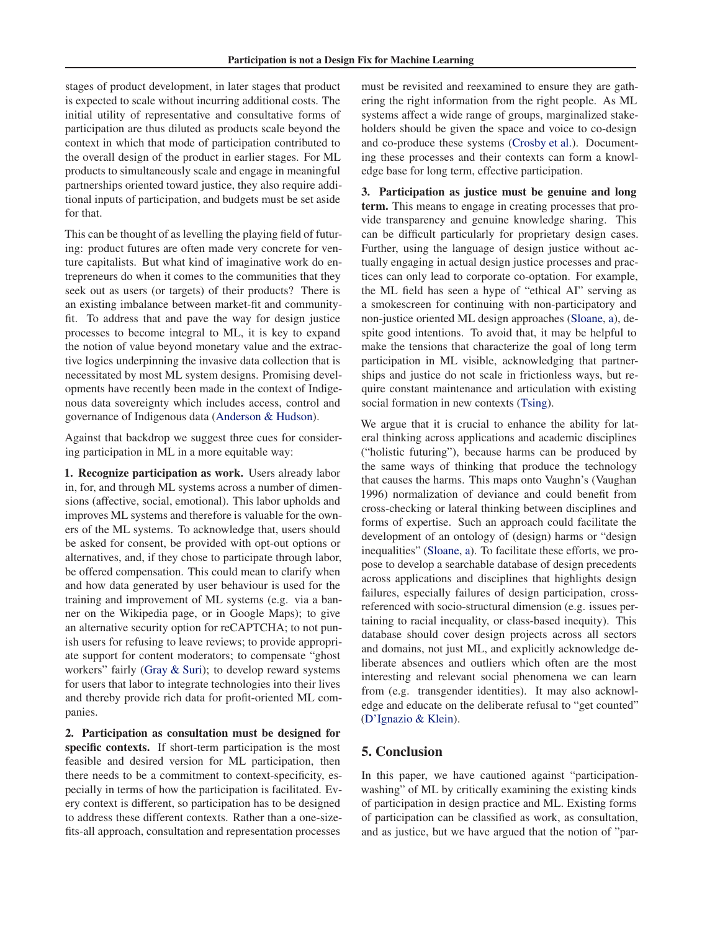stages of product development, in later stages that product is expected to scale without incurring additional costs. The initial utility of representative and consultative forms of participation are thus diluted as products scale beyond the context in which that mode of participation contributed to the overall design of the product in earlier stages. For ML products to simultaneously scale and engage in meaningful partnerships oriented toward justice, they also require additional inputs of participation, and budgets must be set aside for that.

This can be thought of as levelling the playing field of futuring: product futures are often made very concrete for venture capitalists. But what kind of imaginative work do entrepreneurs do when it comes to the communities that they seek out as users (or targets) of their products? There is an existing imbalance between market-fit and communityfit. To address that and pave the way for design justice processes to become integral to ML, it is key to expand the notion of value beyond monetary value and the extractive logics underpinning the invasive data collection that is necessitated by most ML system designs. Promising developments have recently been made in the context of Indigenous data sovereignty which includes access, control and governance of Indigenous data (Anderson & Hudson).

Against that backdrop we suggest three cues for considering participation in ML in a more equitable way:

1. Recognize participation as work. Users already labor in, for, and through ML systems across a number of dimensions (affective, social, emotional). This labor upholds and improves ML systems and therefore is valuable for the owners of the ML systems. To acknowledge that, users should be asked for consent, be provided with opt-out options or alternatives, and, if they chose to participate through labor, be offered compensation. This could mean to clarify when and how data generated by user behaviour is used for the training and improvement of ML systems (e.g. via a banner on the Wikipedia page, or in Google Maps); to give an alternative security option for reCAPTCHA; to not punish users for refusing to leave reviews; to provide appropriate support for content moderators; to compensate "ghost workers" fairly (Gray & Suri); to develop reward systems for users that labor to integrate technologies into their lives and thereby provide rich data for profit-oriented ML companies.

2. Participation as consultation must be designed for specific contexts. If short-term participation is the most feasible and desired version for ML participation, then there needs to be a commitment to context-specificity, especially in terms of how the participation is facilitated. Every context is different, so participation has to be designed to address these different contexts. Rather than a one-sizefits-all approach, consultation and representation processes

must be revisited and reexamined to ensure they are gathering the right information from the right people. As ML systems affect a wide range of groups, marginalized stakeholders should be given the space and voice to co-design and co-produce these systems (Crosby et al.). Documenting these processes and their contexts can form a knowledge base for long term, effective participation.

3. Participation as justice must be genuine and long term. This means to engage in creating processes that provide transparency and genuine knowledge sharing. This can be difficult particularly for proprietary design cases. Further, using the language of design justice without actually engaging in actual design justice processes and practices can only lead to corporate co-optation. For example, the ML field has seen a hype of "ethical AI" serving as a smokescreen for continuing with non-participatory and non-justice oriented ML design approaches (Sloane, a), despite good intentions. To avoid that, it may be helpful to make the tensions that characterize the goal of long term participation in ML visible, acknowledging that partnerships and justice do not scale in frictionless ways, but require constant maintenance and articulation with existing social formation in new contexts (Tsing).

We argue that it is crucial to enhance the ability for lateral thinking across applications and academic disciplines ("holistic futuring"), because harms can be produced by the same ways of thinking that produce the technology that causes the harms. This maps onto Vaughn's (Vaughan 1996) normalization of deviance and could benefit from cross-checking or lateral thinking between disciplines and forms of expertise. Such an approach could facilitate the development of an ontology of (design) harms or "design inequalities" (Sloane, a). To facilitate these efforts, we propose to develop a searchable database of design precedents across applications and disciplines that highlights design failures, especially failures of design participation, crossreferenced with socio-structural dimension (e.g. issues pertaining to racial inequality, or class-based inequity). This database should cover design projects across all sectors and domains, not just ML, and explicitly acknowledge deliberate absences and outliers which often are the most interesting and relevant social phenomena we can learn from (e.g. transgender identities). It may also acknowledge and educate on the deliberate refusal to "get counted" (D'Ignazio & Klein).

## 5. Conclusion

In this paper, we have cautioned against "participationwashing" of ML by critically examining the existing kinds of participation in design practice and ML. Existing forms of participation can be classified as work, as consultation, and as justice, but we have argued that the notion of "par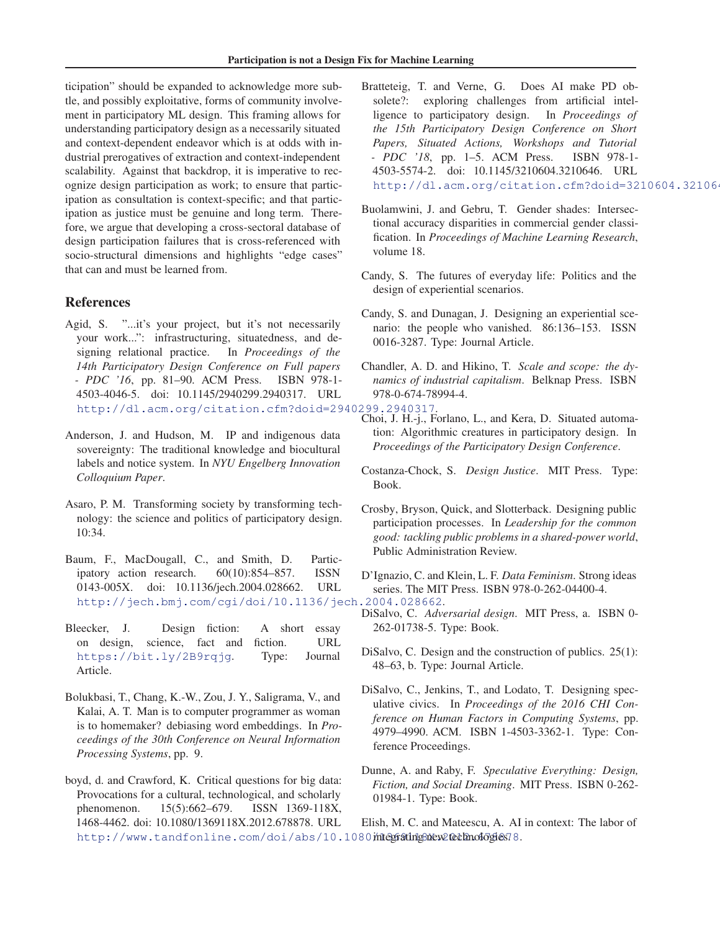ticipation" should be expanded to acknowledge more subtle, and possibly exploitative, forms of community involvement in participatory ML design. This framing allows for understanding participatory design as a necessarily situated and context-dependent endeavor which is at odds with industrial prerogatives of extraction and context-independent scalability. Against that backdrop, it is imperative to recognize design participation as work; to ensure that participation as consultation is context-specific; and that participation as justice must be genuine and long term. Therefore, we argue that developing a cross-sectoral database of design participation failures that is cross-referenced with socio-structural dimensions and highlights "edge cases" that can and must be learned from.

## References

- Agid, S. "...it's your project, but it's not necessarily your work...": infrastructuring, situatedness, and designing relational practice. In *Proceedings of the 14th Participatory Design Conference on Full papers - PDC '16*, pp. 81–90. ACM Press. ISBN 978-1- 4503-4046-5. doi: 10.1145/2940299.2940317. URL http://dl.acm.org/citation.cfm?doid=2940299.2940317.
- Anderson, J. and Hudson, M. IP and indigenous data sovereignty: The traditional knowledge and biocultural labels and notice system. In *NYU Engelberg Innovation Colloquium Paper*.
- Asaro, P. M. Transforming society by transforming technology: the science and politics of participatory design. 10:34.
- Baum, F., MacDougall, C., and Smith, D. Participatory action research. 60(10):854–857. ISSN 0143-005X. doi: 10.1136/jech.2004.028662. URL http://jech.bmj.com/cgi/doi/10.1136/jech.2004.028662.
- Bleecker, J. Design fiction: A short essay on design, science, fact and fiction. URL https://bit.ly/2B9rqjg. Type: Journal Article.
- Bolukbasi, T., Chang, K.-W., Zou, J. Y., Saligrama, V., and Kalai, A. T. Man is to computer programmer as woman is to homemaker? debiasing word embeddings. In *Proceedings of the 30th Conference on Neural Information Processing Systems*, pp. 9.
- boyd, d. and Crawford, K. Critical questions for big data: Provocations for a cultural, technological, and scholarly phenomenon. 15(5):662–679. ISSN 1369-118X, 1468-4462. doi: 10.1080/1369118X.2012.678878. URL http://www.tandfonline.com/doi/abs/10.1080*i*niegratingsnew2Cetknologies78.
- Bratteteig, T. and Verne, G. Does AI make PD obsolete?: exploring challenges from artificial intelligence to participatory design. In *Proceedings of the 15th Participatory Design Conference on Short Papers, Situated Actions, Workshops and Tutorial - PDC '18*, pp. 1–5. ACM Press. ISBN 978-1- 4503-5574-2. doi: 10.1145/3210604.3210646. URL http://dl.acm.org/citation.cfm?doid=3210604.32106
- Buolamwini, J. and Gebru, T. Gender shades: Intersectional accuracy disparities in commercial gender classification. In *Proceedings of Machine Learning Research*, volume 18.
- Candy, S. The futures of everyday life: Politics and the design of experiential scenarios.
- Candy, S. and Dunagan, J. Designing an experiential scenario: the people who vanished. 86:136–153. ISSN 0016-3287. Type: Journal Article.
- Chandler, A. D. and Hikino, T. *Scale and scope: the dynamics of industrial capitalism*. Belknap Press. ISBN 978-0-674-78994-4.
- Choi, J. H.-j., Forlano, L., and Kera, D. Situated automation: Algorithmic creatures in participatory design. In *Proceedings of the Participatory Design Conference*.
- Costanza-Chock, S. *Design Justice*. MIT Press. Type: Book.
- Crosby, Bryson, Quick, and Slotterback. Designing public participation processes. In *Leadership for the common good: tackling public problems in a shared-power world*, Public Administration Review.
- D'Ignazio, C. and Klein, L. F. *Data Feminism*. Strong ideas series. The MIT Press. ISBN 978-0-262-04400-4.
- DiSalvo, C. *Adversarial design*. MIT Press, a. ISBN 0- 262-01738-5. Type: Book.
- DiSalvo, C. Design and the construction of publics. 25(1): 48–63, b. Type: Journal Article.
- DiSalvo, C., Jenkins, T., and Lodato, T. Designing speculative civics. In *Proceedings of the 2016 CHI Conference on Human Factors in Computing Systems*, pp. 4979–4990. ACM. ISBN 1-4503-3362-1. Type: Conference Proceedings.
- Dunne, A. and Raby, F. *Speculative Everything: Design, Fiction, and Social Dreaming*. MIT Press. ISBN 0-262- 01984-1. Type: Book.

Elish, M. C. and Mateescu, A. AI in context: The labor of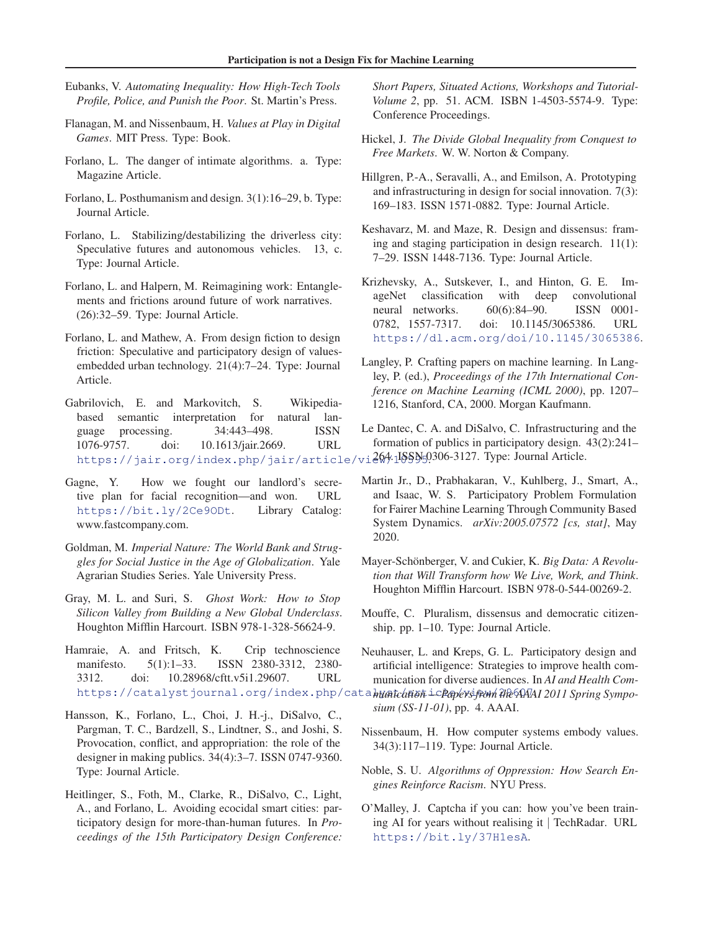- Eubanks, V. *Automating Inequality: How High-Tech Tools Profile, Police, and Punish the Poor*. St. Martin's Press.
- Flanagan, M. and Nissenbaum, H. *Values at Play in Digital Games*. MIT Press. Type: Book.
- Forlano, L. The danger of intimate algorithms. a. Type: Magazine Article.
- Forlano, L. Posthumanism and design. 3(1):16–29, b. Type: Journal Article.
- Forlano, L. Stabilizing/destabilizing the driverless city: Speculative futures and autonomous vehicles. 13, c. Type: Journal Article.
- Forlano, L. and Halpern, M. Reimagining work: Entanglements and frictions around future of work narratives. (26):32–59. Type: Journal Article.
- Forlano, L. and Mathew, A. From design fiction to design friction: Speculative and participatory design of valuesembedded urban technology. 21(4):7–24. Type: Journal Article.
- Gabrilovich, E. and Markovitch, S. Wikipediabased semantic interpretation for natural language processing. 34:443–498. ISSN 1076-9757. doi: 10.1613/jair.2669. URL https://jair.org/index.php/jair/article/vi264.15SSN50306-3127. Type:Journal Article.
- Gagne, Y. How we fought our landlord's secretive plan for facial recognition—and won. URL https://bit.ly/2Ce9ODt. Library Catalog: www.fastcompany.com.
- Goldman, M. *Imperial Nature: The World Bank and Struggles for Social Justice in the Age of Globalization*. Yale Agrarian Studies Series. Yale University Press.
- Gray, M. L. and Suri, S. *Ghost Work: How to Stop Silicon Valley from Building a New Global Underclass*. Houghton Mifflin Harcourt. ISBN 978-1-328-56624-9.
- Hamraie, A. and Fritsch, K. Crip technoscience manifesto. 5(1):1–33. ISSN 2380-3312, 2380-3312. doi: 10.28968/cftt.v5i1.29607. URL https://catalystjournal.org/index.php/cata*hum tchme i c Popevsjeom Me AAAI 2011 Spring Sympo-*
- Hansson, K., Forlano, L., Choi, J. H.-j., DiSalvo, C., Pargman, T. C., Bardzell, S., Lindtner, S., and Joshi, S. Provocation, conflict, and appropriation: the role of the designer in making publics. 34(4):3–7. ISSN 0747-9360. Type: Journal Article.
- Heitlinger, S., Foth, M., Clarke, R., DiSalvo, C., Light, A., and Forlano, L. Avoiding ecocidal smart cities: participatory design for more-than-human futures. In *Proceedings of the 15th Participatory Design Conference:*

*Short Papers, Situated Actions, Workshops and Tutorial-Volume 2*, pp. 51. ACM. ISBN 1-4503-5574-9. Type: Conference Proceedings.

- Hickel, J. *The Divide Global Inequality from Conquest to Free Markets*. W. W. Norton & Company.
- Hillgren, P.-A., Seravalli, A., and Emilson, A. Prototyping and infrastructuring in design for social innovation. 7(3): 169–183. ISSN 1571-0882. Type: Journal Article.
- Keshavarz, M. and Maze, R. Design and dissensus: framing and staging participation in design research. 11(1): 7–29. ISSN 1448-7136. Type: Journal Article.
- Krizhevsky, A., Sutskever, I., and Hinton, G. E. ImageNet classification with deep convolutional neural networks. 60(6):84–90. ISSN 0001- 0782, 1557-7317. doi: 10.1145/3065386. URL https://dl.acm.org/doi/10.1145/3065386.
- Langley, P. Crafting papers on machine learning. In Langley, P. (ed.), *Proceedings of the 17th International Conference on Machine Learning (ICML 2000)*, pp. 1207– 1216, Stanford, CA, 2000. Morgan Kaufmann.
- Le Dantec, C. A. and DiSalvo, C. Infrastructuring and the formation of publics in participatory design. 43(2):241–
- Martin Jr., D., Prabhakaran, V., Kuhlberg, J., Smart, A., and Isaac, W. S. Participatory Problem Formulation for Fairer Machine Learning Through Community Based System Dynamics. *arXiv:2005.07572 [cs, stat]*, May 2020.
- Mayer-Schönberger, V. and Cukier, K. Big Data: A Revolu*tion that Will Transform how We Live, Work, and Think*. Houghton Mifflin Harcourt. ISBN 978-0-544-00269-2.
- Mouffe, C. Pluralism, dissensus and democratic citizenship. pp. 1–10. Type: Journal Article.
- Neuhauser, L. and Kreps, G. L. Participatory design and artificial intelligence: Strategies to improve health communication for diverse audiences. In *AI and Health Com-*
- *sium (SS-11-01)*, pp. 4. AAAI.
- Nissenbaum, H. How computer systems embody values. 34(3):117–119. Type: Journal Article.
- Noble, S. U. *Algorithms of Oppression: How Search Engines Reinforce Racism*. NYU Press.
- O'Malley, J. Captcha if you can: how you've been training AI for years without realising it | TechRadar. URL https://bit.ly/37H1esA.